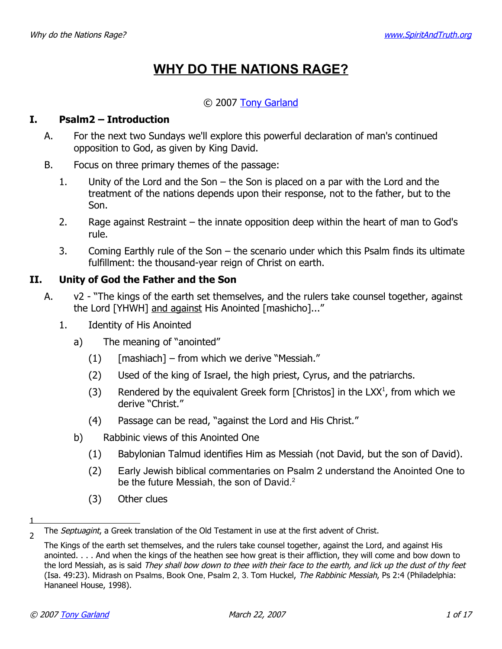# **WHY DO THE NATIONS RAGE?**

# © 2007 [Tony Garland](http://www.SpiritAndTruth.org/id/tg.htm)

## **I. Psalm2 – Introduction**

- A. For the next two Sundays we'll explore this powerful declaration of man's continued opposition to God, as given by King David.
- B. Focus on three primary themes of the passage:
	- 1. Unity of the Lord and the Son the Son is placed on a par with the Lord and the treatment of the nations depends upon their response, not to the father, but to the Son.
	- 2. Rage against Restraint the innate opposition deep within the heart of man to God's rule.
	- 3. Coming Earthly rule of the Son the scenario under which this Psalm finds its ultimate fulfillment: the thousand-year reign of Christ on earth.

# **II. Unity of God the Father and the Son**

- A. v2 "The kings of the earth set themselves, and the rulers take counsel together, against the Lord [YHWH] and against His Anointed [mashicho]..."
	- 1. Identity of His Anointed
		- a) The meaning of "anointed"
			- $(1)$  [mashiach] from which we derive "Messiah."
			- (2) Used of the king of Israel, the high priest, Cyrus, and the patriarchs.
			- (3) Rendered by the equivalent Greek form [Christos] in the LXX<sup>[1](#page-0-0)</sup>, from which we derive "Christ."
			- (4) Passage can be read, "against the Lord and His Christ."
		- b) Rabbinic views of this Anointed One
			- (1) Babylonian Talmud identifies Him as Messiah (not David, but the son of David).
			- (2) Early Jewish biblical commentaries on Psalm 2 understand the Anointed One to be the future Messiah, the son of David.<sup>[2](#page-0-1)</sup>
			- (3) Other clues

1

<span id="page-0-0"></span><sup>&</sup>lt;sub>2</sub> The *Septuagint*, a Greek translation of the Old Testament in use at the first advent of Christ.

<span id="page-0-1"></span>The Kings of the earth set themselves, and the rulers take counsel together, against the Lord, and against His anointed. . . . And when the kings of the heathen see how great is their affliction, they will come and bow down to the lord Messiah, as is said They shall bow down to thee with their face to the earth, and lick up the dust of thy feet (Isa. 49:23). Midrash on Psalms, Book One, Psalm 2, 3. Tom Huckel, The Rabbinic Messiah, Ps 2:4 (Philadelphia: Hananeel House, 1998).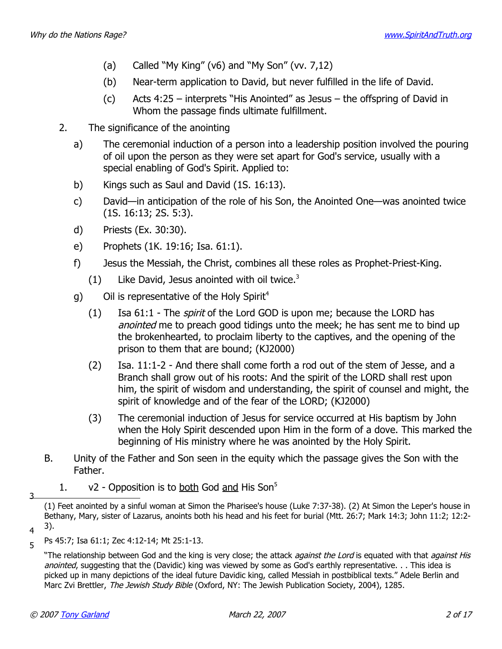- (a) Called "My King" ( $v6$ ) and "My Son" ( $vv. 7,12$ )
- (b) Near-term application to David, but never fulfilled in the life of David.
- (c) Acts 4:25 interprets "His Anointed" as Jesus the offspring of David in Whom the passage finds ultimate fulfillment.
- 2. The significance of the anointing
	- a) The ceremonial induction of a person into a leadership position involved the pouring of oil upon the person as they were set apart for God's service, usually with a special enabling of God's Spirit. Applied to:
	- b) Kings such as Saul and David (1S. 16:13).
	- c) David—in anticipation of the role of his Son, the Anointed One—was anointed twice (1S. 16:13; 2S. 5:3).
	- d) Priests (Ex. 30:30).
	- e) Prophets (1K. 19:16; Isa. 61:1).
	- f) Jesus the Messiah, the Christ, combines all these roles as Prophet-Priest-King.
		- $(1)$  Like David, Jesus anointed with oil twice.<sup>[3](#page-1-0)</sup>
	- g) Oil is representative of the Holy Spirit<sup>[4](#page-1-1)</sup>
		- (1) Isa  $61:1$  The *spirit* of the Lord GOD is upon me; because the LORD has anointed me to preach good tidings unto the meek; he has sent me to bind up the brokenhearted, to proclaim liberty to the captives, and the opening of the prison to them that are bound; (KJ2000)
		- (2) Isa. 11:1-2 And there shall come forth a rod out of the stem of Jesse, and a Branch shall grow out of his roots: And the spirit of the LORD shall rest upon him, the spirit of wisdom and understanding, the spirit of counsel and might, the spirit of knowledge and of the fear of the LORD; (KJ2000)
		- (3) The ceremonial induction of Jesus for service occurred at His baptism by John when the Holy Spirit descended upon Him in the form of a dove. This marked the beginning of His ministry where he was anointed by the Holy Spirit.
- B. Unity of the Father and Son seen in the equity which the passage gives the Son with the Father.
- 1.  $v^2$  Opposition is to both God and His Son<sup>[5](#page-1-2)</sup> 3

<span id="page-1-0"></span><sup>(1)</sup> Feet anointed by a sinful woman at Simon the Pharisee's house (Luke 7:37-38). (2) At Simon the Leper's house in Bethany, Mary, sister of Lazarus, anoints both his head and his feet for burial (Mtt. 26:7; Mark 14:3; John 11:2; 12:2-  $(4, 3)$ .

<span id="page-1-1"></span>Ps 45:7; Isa 61:1; Zec 4:12-14; Mt 25:1-13.

<span id="page-1-2"></span><sup>&</sup>quot;The relationship between God and the king is very close; the attack *against the Lord* is equated with that *against His* anointed, suggesting that the (Davidic) king was viewed by some as God's earthly representative. . . This idea is picked up in many depictions of the ideal future Davidic king, called Messiah in postbiblical texts." Adele Berlin and Marc Zvi Brettler, The Jewish Study Bible (Oxford, NY: The Jewish Publication Society, 2004), 1285.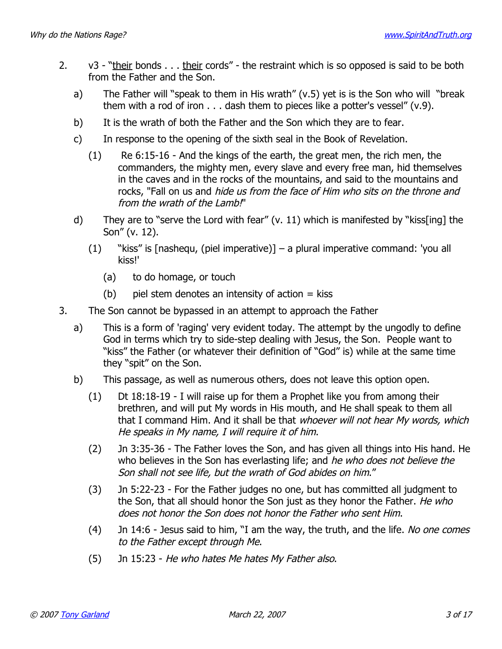- 2. v3 "their bonds . . . their cords" the restraint which is so opposed is said to be both from the Father and the Son.
	- a) The Father will "speak to them in His wrath" (v.5) yet is is the Son who will "break them with a rod of iron . . . dash them to pieces like a potter's vessel" (v.9).
	- b) It is the wrath of both the Father and the Son which they are to fear.
	- c) In response to the opening of the sixth seal in the Book of Revelation.
		- (1) Re 6:15-16 And the kings of the earth, the great men, the rich men, the commanders, the mighty men, every slave and every free man, hid themselves in the caves and in the rocks of the mountains, and said to the mountains and rocks, "Fall on us and hide us from the face of Him who sits on the throne and from the wrath of the Lamb!"
	- d) They are to "serve the Lord with fear" (v. 11) which is manifested by "kiss[ing] the Son" (v. 12).
		- (1) "kiss" is [nashequ, (piel imperative)] a plural imperative command: 'you all kiss!'
			- (a) to do homage, or touch
			- $(b)$  piel stem denotes an intensity of action  $=$  kiss
- 3. The Son cannot be bypassed in an attempt to approach the Father
	- a) This is a form of 'raging' very evident today. The attempt by the ungodly to define God in terms which try to side-step dealing with Jesus, the Son. People want to "kiss" the Father (or whatever their definition of "God" is) while at the same time they "spit" on the Son.
	- b) This passage, as well as numerous others, does not leave this option open.
		- (1) Dt 18:18-19 I will raise up for them a Prophet like you from among their brethren, and will put My words in His mouth, and He shall speak to them all that I command Him. And it shall be that whoever will not hear My words, which He speaks in My name, I will require it of him.
		- (2) Jn 3:35-36 The Father loves the Son, and has given all things into His hand. He who believes in the Son has everlasting life; and he who does not believe the Son shall not see life, but the wrath of God abides on him."
		- (3) Jn 5:22-23 For the Father judges no one, but has committed all judgment to the Son, that all should honor the Son just as they honor the Father. He who does not honor the Son does not honor the Father who sent Him.
		- (4) Jn 14:6 Jesus said to him, "I am the way, the truth, and the life. No one comes to the Father except through Me.
		- (5) Jn 15:23 He who hates Me hates My Father also.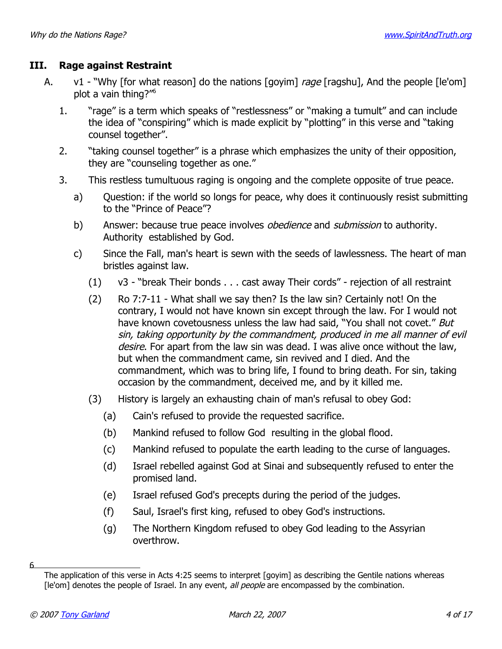## **III. Rage against Restraint**

- A.  $v1 -$  "Why [for what reason] do the nations [goyim] rage [ragshu], And the people [le'om] plot a vain thing?"[6](#page-3-0)
	- 1. "rage" is a term which speaks of "restlessness" or "making a tumult" and can include the idea of "conspiring" which is made explicit by "plotting" in this verse and "taking counsel together".
	- 2. "taking counsel together" is a phrase which emphasizes the unity of their opposition, they are "counseling together as one."
	- 3. This restless tumultuous raging is ongoing and the complete opposite of true peace.
		- a) Question: if the world so longs for peace, why does it continuously resist submitting to the "Prince of Peace"?
		- b) Answer: because true peace involves *obedience* and *submission* to authority. Authority established by God.
		- c) Since the Fall, man's heart is sewn with the seeds of lawlessness. The heart of man bristles against law.
			- (1) v3 "break Their bonds . . . cast away Their cords" rejection of all restraint
			- (2) Ro 7:7-11 What shall we say then? Is the law sin? Certainly not! On the contrary, I would not have known sin except through the law. For I would not have known covetousness unless the law had said, "You shall not covet." But sin, taking opportunity by the commandment, produced in me all manner of evil desire. For apart from the law sin was dead. I was alive once without the law, but when the commandment came, sin revived and I died. And the commandment, which was to bring life, I found to bring death. For sin, taking occasion by the commandment, deceived me, and by it killed me.
			- (3) History is largely an exhausting chain of man's refusal to obey God:
				- (a) Cain's refused to provide the requested sacrifice.
				- (b) Mankind refused to follow God resulting in the global flood.
				- (c) Mankind refused to populate the earth leading to the curse of languages.
				- (d) Israel rebelled against God at Sinai and subsequently refused to enter the promised land.
				- (e) Israel refused God's precepts during the period of the judges.
				- (f) Saul, Israel's first king, refused to obey God's instructions.
				- (g) The Northern Kingdom refused to obey God leading to the Assyrian overthrow.

6

<span id="page-3-0"></span>The application of this verse in Acts 4:25 seems to interpret [goyim] as describing the Gentile nations whereas [le'om] denotes the people of Israel. In any event, all people are encompassed by the combination.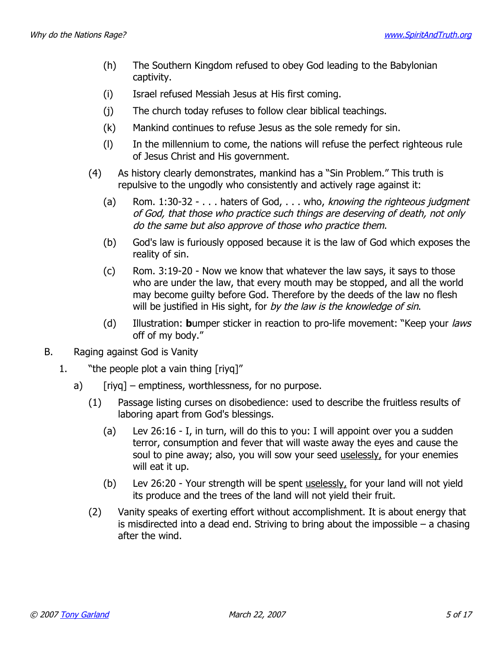- (h) The Southern Kingdom refused to obey God leading to the Babylonian captivity.
- (i) Israel refused Messiah Jesus at His first coming.
- (j) The church today refuses to follow clear biblical teachings.
- (k) Mankind continues to refuse Jesus as the sole remedy for sin.
- (l) In the millennium to come, the nations will refuse the perfect righteous rule of Jesus Christ and His government.
- (4) As history clearly demonstrates, mankind has a "Sin Problem." This truth is repulsive to the ungodly who consistently and actively rage against it:
	- (a) Rom.  $1:30-32 ...$  haters of God,  $...$  who, knowing the righteous judgment of God, that those who practice such things are deserving of death, not only do the same but also approve of those who practice them.
	- (b) God's law is furiously opposed because it is the law of God which exposes the reality of sin.
	- (c) Rom. 3:19-20 Now we know that whatever the law says, it says to those who are under the law, that every mouth may be stopped, and all the world may become guilty before God. Therefore by the deeds of the law no flesh will be justified in His sight, for by the law is the knowledge of sin.
	- (d) Illustration: **b**umper sticker in reaction to pro-life movement: "Keep your laws off of my body."
- B. Raging against God is Vanity
	- 1. "the people plot a vain thing [riyq]"
		- a)  $[riya]$  emptiness, worthlessness, for no purpose.
			- (1) Passage listing curses on disobedience: used to describe the fruitless results of laboring apart from God's blessings.
				- (a) Lev 26:16 I, in turn, will do this to you: I will appoint over you a sudden terror, consumption and fever that will waste away the eyes and cause the soul to pine away; also, you will sow your seed uselessly, for your enemies will eat it up.
				- (b) Lev 26:20 Your strength will be spent uselessly, for your land will not yield its produce and the trees of the land will not yield their fruit.
			- (2) Vanity speaks of exerting effort without accomplishment. It is about energy that is misdirected into a dead end. Striving to bring about the impossible – a chasing after the wind.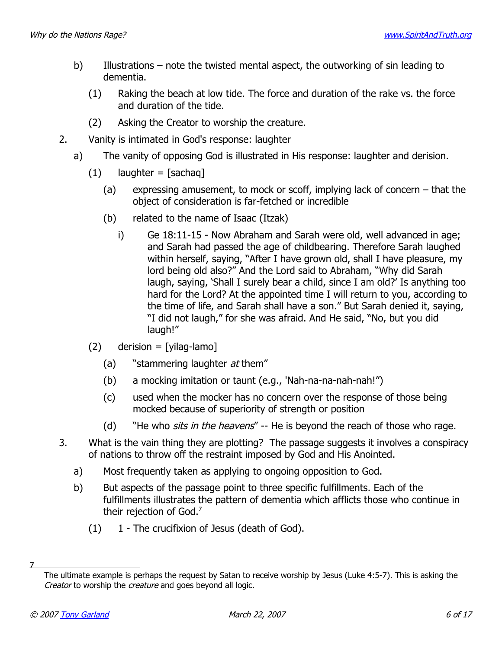- b) Illustrations note the twisted mental aspect, the outworking of sin leading to dementia.
	- (1) Raking the beach at low tide. The force and duration of the rake vs. the force and duration of the tide.
	- (2) Asking the Creator to worship the creature.
- 2. Vanity is intimated in God's response: laughter
	- a) The vanity of opposing God is illustrated in His response: laughter and derision.
		- $(1)$  laughter = [sachaq]
			- (a) expressing amusement, to mock or scoff, implying lack of concern that the object of consideration is far-fetched or incredible
			- (b) related to the name of Isaac (Itzak)
				- i) Ge 18:11-15 Now Abraham and Sarah were old, well advanced in age; and Sarah had passed the age of childbearing. Therefore Sarah laughed within herself, saying, "After I have grown old, shall I have pleasure, my lord being old also?" And the Lord said to Abraham, "Why did Sarah laugh, saying, 'Shall I surely bear a child, since I am old?' Is anything too hard for the Lord? At the appointed time I will return to you, according to the time of life, and Sarah shall have a son." But Sarah denied it, saying, "I did not laugh," for she was afraid. And He said, "No, but you did laugh!"
		- $(2)$  derision = [yilag-lamo]
			- (a) "stammering laughter  $at$  them"
			- (b) a mocking imitation or taunt (e.g., 'Nah-na-na-nah-nah!")
			- (c) used when the mocker has no concern over the response of those being mocked because of superiority of strength or position
			- (d) "He who *sits in the heavens"*  $-$  He is beyond the reach of those who rage.
- 3. What is the vain thing they are plotting? The passage suggests it involves a conspiracy of nations to throw off the restraint imposed by God and His Anointed.
	- a) Most frequently taken as applying to ongoing opposition to God.
	- b) But aspects of the passage point to three specific fulfillments. Each of the fulfillments illustrates the pattern of dementia which afflicts those who continue in their rejection of God.<sup>[7](#page-5-0)</sup>
		- $(1)$  1 The crucifixion of Jesus (death of God).

7

<span id="page-5-0"></span>The ultimate example is perhaps the request by Satan to receive worship by Jesus (Luke 4:5-7). This is asking the Creator to worship the creature and goes beyond all logic.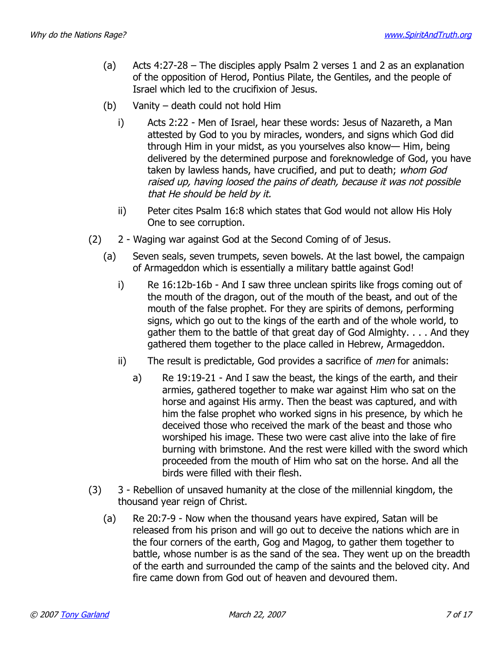- (a) Acts 4:27-28 The disciples apply Psalm 2 verses 1 and 2 as an explanation of the opposition of Herod, Pontius Pilate, the Gentiles, and the people of Israel which led to the crucifixion of Jesus.
- (b) Vanity death could not hold Him
	- i) Acts 2:22 Men of Israel, hear these words: Jesus of Nazareth, a Man attested by God to you by miracles, wonders, and signs which God did through Him in your midst, as you yourselves also know— Him, being delivered by the determined purpose and foreknowledge of God, you have taken by lawless hands, have crucified, and put to death; whom God raised up, having loosed the pains of death, because it was not possible that He should be held by it.
	- ii) Peter cites Psalm 16:8 which states that God would not allow His Holy One to see corruption.
- (2) 2 Waging war against God at the Second Coming of of Jesus.
	- (a) Seven seals, seven trumpets, seven bowels. At the last bowel, the campaign of Armageddon which is essentially a military battle against God!
		- i) Re 16:12b-16b And I saw three unclean spirits like frogs coming out of the mouth of the dragon, out of the mouth of the beast, and out of the mouth of the false prophet. For they are spirits of demons, performing signs, which go out to the kings of the earth and of the whole world, to gather them to the battle of that great day of God Almighty. . . . And they gathered them together to the place called in Hebrew, Armageddon.
		- ii) The result is predictable, God provides a sacrifice of *men* for animals:
			- a) Re 19:19-21 And I saw the beast, the kings of the earth, and their armies, gathered together to make war against Him who sat on the horse and against His army. Then the beast was captured, and with him the false prophet who worked signs in his presence, by which he deceived those who received the mark of the beast and those who worshiped his image. These two were cast alive into the lake of fire burning with brimstone. And the rest were killed with the sword which proceeded from the mouth of Him who sat on the horse. And all the birds were filled with their flesh.
- (3) 3 Rebellion of unsaved humanity at the close of the millennial kingdom, the thousand year reign of Christ.
	- (a) Re 20:7-9 Now when the thousand years have expired, Satan will be released from his prison and will go out to deceive the nations which are in the four corners of the earth, Gog and Magog, to gather them together to battle, whose number is as the sand of the sea. They went up on the breadth of the earth and surrounded the camp of the saints and the beloved city. And fire came down from God out of heaven and devoured them.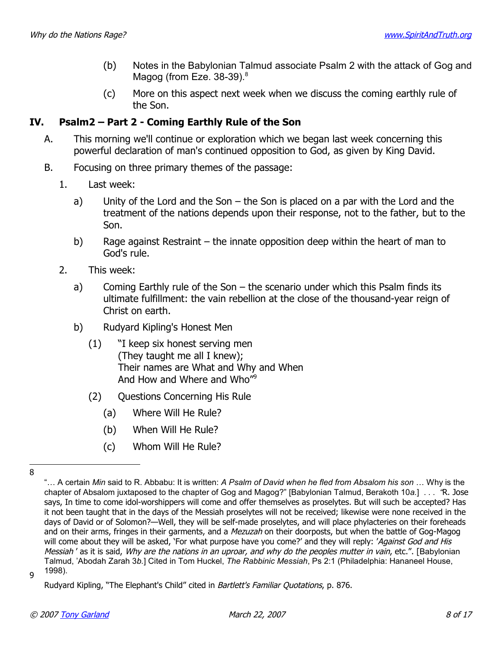- (b) Notes in the Babylonian Talmud associate Psalm 2 with the attack of Gog and Magog (from Eze. 3[8](#page-7-0)-39).<sup>8</sup>
- (c) More on this aspect next week when we discuss the coming earthly rule of the Son.

# **IV. Psalm2 – Part 2 - Coming Earthly Rule of the Son**

- A. This morning we'll continue or exploration which we began last week concerning this powerful declaration of man's continued opposition to God, as given by King David.
- B. Focusing on three primary themes of the passage:
	- 1. Last week:
		- a) Unity of the Lord and the Son the Son is placed on a par with the Lord and the treatment of the nations depends upon their response, not to the father, but to the Son.
		- b) Rage against Restraint the innate opposition deep within the heart of man to God's rule.
	- 2. This week:
		- a) Coming Earthly rule of the Son the scenario under which this Psalm finds its ultimate fulfillment: the vain rebellion at the close of the thousand-year reign of Christ on earth.
		- b) Rudyard Kipling's Honest Men
			- (1) "I keep six honest serving men (They taught me all I knew); Their names are What and Why and When And How and Where and Who"[9](#page-7-1)
			- (2) Questions Concerning His Rule
				- (a) Where Will He Rule?
				- (b) When Will He Rule?
				- (c) Whom Will He Rule?

<span id="page-7-0"></span><sup>8</sup>

<sup>&</sup>quot;… A certain *Min* said to R. Abbabu: It is written: *A Psalm of David when he fled from Absalom his son* … Why is the chapter of Absalom juxtaposed to the chapter of Gog and Magog?" [Babylonian Talmud, Berakoth 10*a.*] . . . *"*R. Jose says, In time to come idol-worshippers will come and offer themselves as proselytes. But will such be accepted? Has it not been taught that in the days of the Messiah proselytes will not be received; likewise were none received in the days of David or of Solomon?—Well, they will be self-made proselytes, and will place phylacteries on their foreheads and on their arms, fringes in their garments, and a *Mezuzah* on their doorposts, but when the battle of Gog-Magog will come about they will be asked, 'For what purpose have you come?' and they will reply: 'Against God and His Messiah ' as it is said, Why are the nations in an uproar, and why do the peoples mutter in vain, etc.". [Babylonian Talmud, 'Abodah Zarah 3*b.*] Cited in Tom Huckel, *The Rabbinic Messiah*, Ps 2:1 (Philadelphia: Hananeel House, g 1998).

<span id="page-7-1"></span>Rudyard Kipling, "The Elephant's Child" cited in Bartlett's Familiar Quotations, p. 876.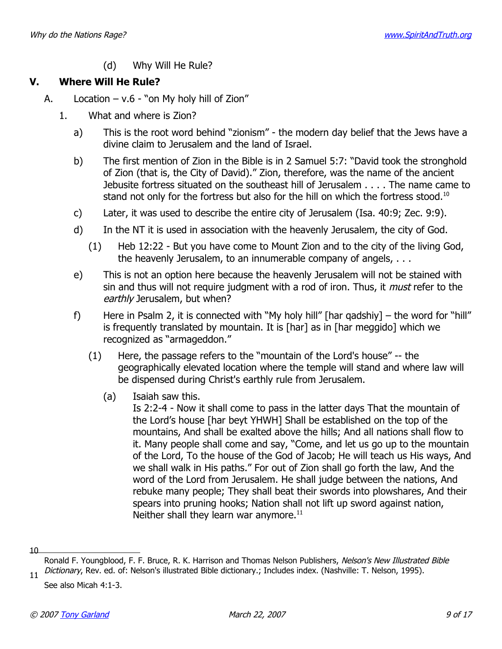(d) Why Will He Rule?

# **V. Where Will He Rule?**

- A. Location  $v.6 -$ " on My holy hill of Zion"
	- 1. What and where is Zion?
		- a) This is the root word behind "zionism" the modern day belief that the Jews have a divine claim to Jerusalem and the land of Israel.
		- b) The first mention of Zion in the Bible is in 2 Samuel 5:7: "David took the stronghold of Zion (that is, the City of David)." Zion, therefore, was the name of the ancient Jebusite fortress situated on the southeast hill of Jerusalem . . . . The name came to stand not only for the fortress but also for the hill on which the fortress stood.<sup>[10](#page-8-0)</sup>
		- c) Later, it was used to describe the entire city of Jerusalem (Isa. 40:9; Zec. 9:9).
		- d) In the NT it is used in association with the heavenly Jerusalem, the city of God.
			- (1) Heb 12:22 But you have come to Mount Zion and to the city of the living God, the heavenly Jerusalem, to an innumerable company of angels, . . .
		- e) This is not an option here because the heavenly Jerusalem will not be stained with sin and thus will not require judgment with a rod of iron. Thus, it *must* refer to the earthly Jerusalem, but when?
		- f) Here in Psalm 2, it is connected with "My holy hill" [har qadshiy] the word for "hill" is frequently translated by mountain. It is [har] as in [har meggido] which we recognized as "armageddon."
			- (1) Here, the passage refers to the "mountain of the Lord's house" -- the geographically elevated location where the temple will stand and where law will be dispensed during Christ's earthly rule from Jerusalem.
				- (a) Isaiah saw this.

Is 2:2-4 - Now it shall come to pass in the latter days That the mountain of the Lord's house [har beyt YHWH] Shall be established on the top of the mountains, And shall be exalted above the hills; And all nations shall flow to it. Many people shall come and say, "Come, and let us go up to the mountain of the Lord, To the house of the God of Jacob; He will teach us His ways, And we shall walk in His paths." For out of Zion shall go forth the law, And the word of the Lord from Jerusalem. He shall judge between the nations, And rebuke many people; They shall beat their swords into plowshares, And their spears into pruning hooks; Nation shall not lift up sword against nation, Neither shall they learn war anymore. $^{11}$  $^{11}$  $^{11}$ 

 $10$ 

<span id="page-8-0"></span>Ronald F. Youngblood, F. F. Bruce, R. K. Harrison and Thomas Nelson Publishers, Nelson's New Illustrated Bible Dictionary, Rev. ed. of: Nelson's illustrated Bible dictionary.; Includes index. (Nashville: T. Nelson, 1995).

<span id="page-8-1"></span>See also Micah 4:1-3.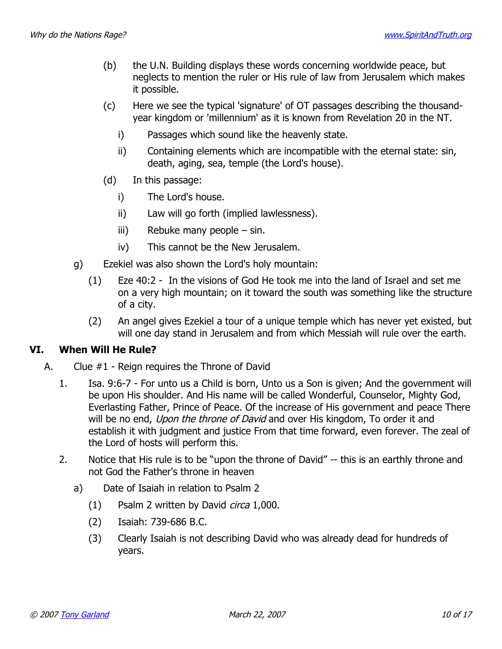- (b) the U.N. Building displays these words concerning worldwide peace, but neglects to mention the ruler or His rule of law from Jerusalem which makes it possible.
- (c) Here we see the typical 'signature' of OT passages describing the thousandyear kingdom or 'millennium' as it is known from Revelation 20 in the NT.
	- i) Passages which sound like the heavenly state.
	- ii) Containing elements which are incompatible with the eternal state: sin, death, aging, sea, temple (the Lord's house).
- (d) In this passage:
	- i) The Lord's house.
	- ii) Law will go forth (implied lawlessness).
	- iii) Rebuke many people sin.
	- iv) This cannot be the New Jerusalem.
- g) Ezekiel was also shown the Lord's holy mountain:
	- (1) Eze 40:2 In the visions of God He took me into the land of Israel and set me on a very high mountain; on it toward the south was something like the structure of a city.
	- (2) An angel gives Ezekiel a tour of a unique temple which has never yet existed, but will one day stand in Jerusalem and from which Messiah will rule over the earth.

#### **VI. When Will He Rule?**

- A. Clue #1 Reign requires the Throne of David
	- 1. Isa. 9:6-7 For unto us a Child is born, Unto us a Son is given; And the government will be upon His shoulder. And His name will be called Wonderful, Counselor, Mighty God, Everlasting Father, Prince of Peace. Of the increase of His government and peace There will be no end, Upon the throne of David and over His kingdom, To order it and establish it with judgment and justice From that time forward, even forever. The zeal of the Lord of hosts will perform this.
	- 2. Notice that His rule is to be "upon the throne of David" -- this is an earthly throne and not God the Father's throne in heaven
		- a) Date of Isaiah in relation to Psalm 2
			- (1) Psalm 2 written by David circa 1,000.
			- (2) Isaiah: 739-686 B.C.
			- (3) Clearly Isaiah is not describing David who was already dead for hundreds of years.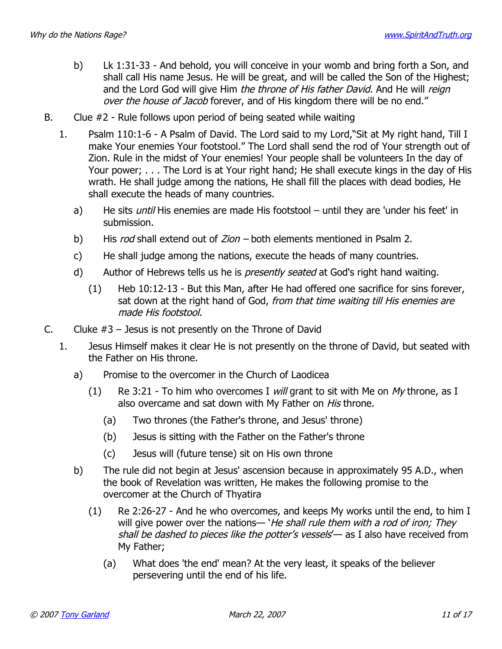- b) Lk 1:31-33 And behold, you will conceive in your womb and bring forth a Son, and shall call His name Jesus. He will be great, and will be called the Son of the Highest; and the Lord God will give Him the throne of His father David. And He will reign over the house of Jacob forever, and of His kingdom there will be no end."
- B. Clue #2 Rule follows upon period of being seated while waiting
	- 1. Psalm 110:1-6 A Psalm of David. The Lord said to my Lord,"Sit at My right hand, Till I make Your enemies Your footstool." The Lord shall send the rod of Your strength out of Zion. Rule in the midst of Your enemies! Your people shall be volunteers In the day of Your power; . . . The Lord is at Your right hand; He shall execute kings in the day of His wrath. He shall judge among the nations, He shall fill the places with dead bodies, He shall execute the heads of many countries.
		- a) He sits *until* His enemies are made His footstool until they are 'under his feet' in submission.
		- b) His rod shall extend out of Zion both elements mentioned in Psalm 2.
		- c) He shall judge among the nations, execute the heads of many countries.
		- d) Author of Hebrews tells us he is *presently seated* at God's right hand waiting.
			- (1) Heb 10:12-13 But this Man, after He had offered one sacrifice for sins forever, sat down at the right hand of God, from that time waiting till His enemies are made His footstool.
- C. Cluke  $#3$  Jesus is not presently on the Throne of David
	- 1. Jesus Himself makes it clear He is not presently on the throne of David, but seated with the Father on His throne.
		- a) Promise to the overcomer in the Church of Laodicea
			- (1) Re 3:21 To him who overcomes I will grant to sit with Me on My throne, as I also overcame and sat down with My Father on His throne.
				- (a) Two thrones (the Father's throne, and Jesus' throne)
				- (b) Jesus is sitting with the Father on the Father's throne
				- (c) Jesus will (future tense) sit on His own throne
		- b) The rule did not begin at Jesus' ascension because in approximately 95 A.D., when the book of Revelation was written, He makes the following promise to the overcomer at the Church of Thyatira
			- (1) Re 2:26-27 And he who overcomes, and keeps My works until the end, to him I will give power over the nations— 'He shall rule them with a rod of iron; They shall be dashed to pieces like the potter's vessels'— as I also have received from My Father;
				- (a) What does 'the end' mean? At the very least, it speaks of the believer persevering until the end of his life.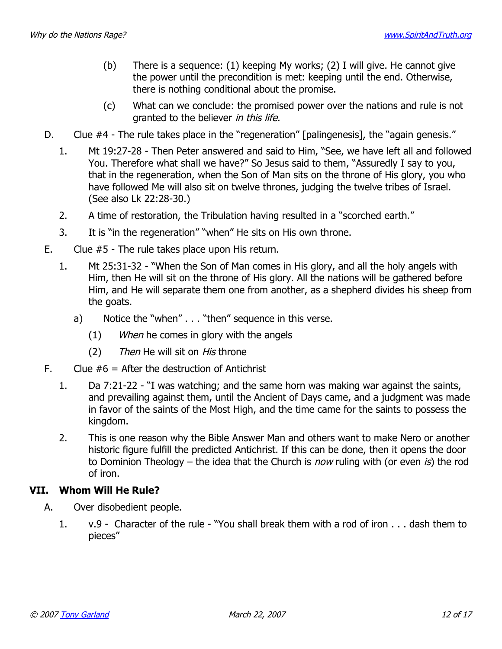- (b) There is a sequence: (1) keeping My works; (2) I will give. He cannot give the power until the precondition is met: keeping until the end. Otherwise, there is nothing conditional about the promise.
- (c) What can we conclude: the promised power over the nations and rule is not granted to the believer in this life.
- D. Clue #4 The rule takes place in the "regeneration" [palingenesis], the "again genesis."
	- 1. Mt 19:27-28 Then Peter answered and said to Him, "See, we have left all and followed You. Therefore what shall we have?" So Jesus said to them, "Assuredly I say to you, that in the regeneration, when the Son of Man sits on the throne of His glory, you who have followed Me will also sit on twelve thrones, judging the twelve tribes of Israel. (See also Lk 22:28-30.)
	- 2. A time of restoration, the Tribulation having resulted in a "scorched earth."
	- 3. It is "in the regeneration" "when" He sits on His own throne.
- E. Clue #5 The rule takes place upon His return.
	- 1. Mt 25:31-32 "When the Son of Man comes in His glory, and all the holy angels with Him, then He will sit on the throne of His glory. All the nations will be gathered before Him, and He will separate them one from another, as a shepherd divides his sheep from the goats.
		- a) Notice the "when" . . . "then" sequence in this verse.
			- (1) When he comes in glory with the angels
			- (2) Then He will sit on His throne
- F. Clue  $#6 =$  After the destruction of Antichrist
	- 1. Da 7:21-22 "I was watching; and the same horn was making war against the saints, and prevailing against them, until the Ancient of Days came, and a judgment was made in favor of the saints of the Most High, and the time came for the saints to possess the kingdom.
	- 2. This is one reason why the Bible Answer Man and others want to make Nero or another historic figure fulfill the predicted Antichrist. If this can be done, then it opens the door to Dominion Theology – the idea that the Church is *now* ruling with (or even *is*) the rod of iron.

# **VII. Whom Will He Rule?**

- A. Over disobedient people.
	- 1. v.9 Character of the rule "You shall break them with a rod of iron . . . dash them to pieces"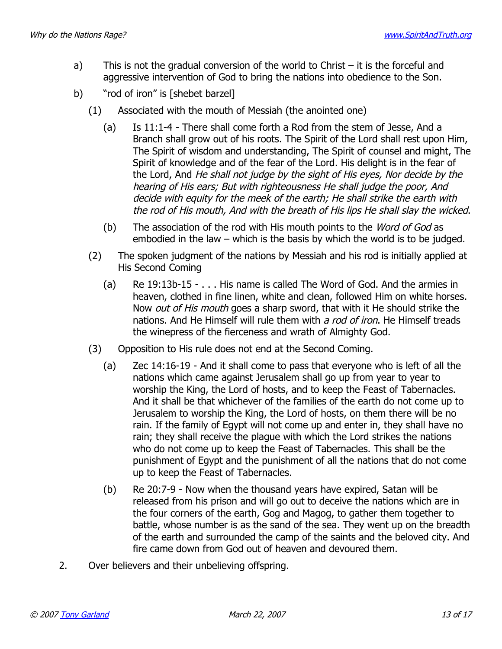- a) This is not the gradual conversion of the world to Christ  $-$  it is the forceful and aggressive intervention of God to bring the nations into obedience to the Son.
- b) "rod of iron" is [shebet barzel]
	- (1) Associated with the mouth of Messiah (the anointed one)
		- (a) Is 11:1-4 There shall come forth a Rod from the stem of Jesse, And a Branch shall grow out of his roots. The Spirit of the Lord shall rest upon Him, The Spirit of wisdom and understanding, The Spirit of counsel and might, The Spirit of knowledge and of the fear of the Lord. His delight is in the fear of the Lord, And He shall not judge by the sight of His eyes, Nor decide by the hearing of His ears; But with righteousness He shall judge the poor, And decide with equity for the meek of the earth; He shall strike the earth with the rod of His mouth, And with the breath of His lips He shall slay the wicked.
		- (b) The association of the rod with His mouth points to the *Word of God* as embodied in the law – which is the basis by which the world is to be judged.
	- (2) The spoken judgment of the nations by Messiah and his rod is initially applied at His Second Coming
		- (a) Re 19:13b-15 . . . His name is called The Word of God. And the armies in heaven, clothed in fine linen, white and clean, followed Him on white horses. Now *out of His mouth* goes a sharp sword, that with it He should strike the nations. And He Himself will rule them with a rod of iron. He Himself treads the winepress of the fierceness and wrath of Almighty God.
	- (3) Opposition to His rule does not end at the Second Coming.
		- (a) Zec 14:16-19 And it shall come to pass that everyone who is left of all the nations which came against Jerusalem shall go up from year to year to worship the King, the Lord of hosts, and to keep the Feast of Tabernacles. And it shall be that whichever of the families of the earth do not come up to Jerusalem to worship the King, the Lord of hosts, on them there will be no rain. If the family of Egypt will not come up and enter in, they shall have no rain; they shall receive the plague with which the Lord strikes the nations who do not come up to keep the Feast of Tabernacles. This shall be the punishment of Egypt and the punishment of all the nations that do not come up to keep the Feast of Tabernacles.
		- (b) Re 20:7-9 Now when the thousand years have expired, Satan will be released from his prison and will go out to deceive the nations which are in the four corners of the earth, Gog and Magog, to gather them together to battle, whose number is as the sand of the sea. They went up on the breadth of the earth and surrounded the camp of the saints and the beloved city. And fire came down from God out of heaven and devoured them.
- 2. Over believers and their unbelieving offspring.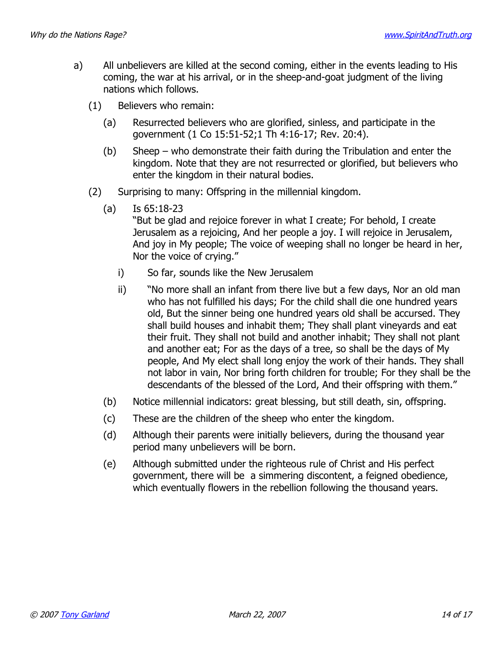- a) All unbelievers are killed at the second coming, either in the events leading to His coming, the war at his arrival, or in the sheep-and-goat judgment of the living nations which follows.
	- (1) Believers who remain:
		- (a) Resurrected believers who are glorified, sinless, and participate in the government (1 Co 15:51-52;1 Th 4:16-17; Rev. 20:4).
		- (b) Sheep who demonstrate their faith during the Tribulation and enter the kingdom. Note that they are not resurrected or glorified, but believers who enter the kingdom in their natural bodies.
	- (2) Surprising to many: Offspring in the millennial kingdom.
		- (a) Is 65:18-23

"But be glad and rejoice forever in what I create; For behold, I create Jerusalem as a rejoicing, And her people a joy. I will rejoice in Jerusalem, And joy in My people; The voice of weeping shall no longer be heard in her, Nor the voice of crying."

- i) So far, sounds like the New Jerusalem
- ii) "No more shall an infant from there live but a few days, Nor an old man who has not fulfilled his days; For the child shall die one hundred years old, But the sinner being one hundred years old shall be accursed. They shall build houses and inhabit them; They shall plant vineyards and eat their fruit. They shall not build and another inhabit; They shall not plant and another eat; For as the days of a tree, so shall be the days of My people, And My elect shall long enjoy the work of their hands. They shall not labor in vain, Nor bring forth children for trouble; For they shall be the descendants of the blessed of the Lord, And their offspring with them."
- (b) Notice millennial indicators: great blessing, but still death, sin, offspring.
- (c) These are the children of the sheep who enter the kingdom.
- (d) Although their parents were initially believers, during the thousand year period many unbelievers will be born.
- (e) Although submitted under the righteous rule of Christ and His perfect government, there will be a simmering discontent, a feigned obedience, which eventually flowers in the rebellion following the thousand years.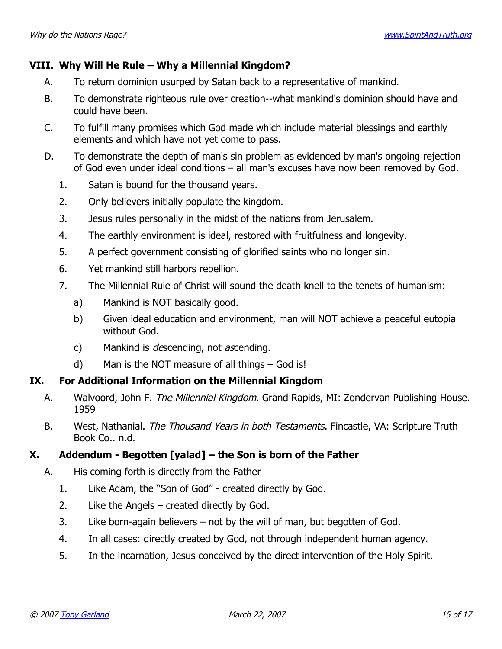## **VIII. Why Will He Rule – Why a Millennial Kingdom?**

- A. To return dominion usurped by Satan back to a representative of mankind.
- B. To demonstrate righteous rule over creation--what mankind's dominion should have and could have been.
- C. To fulfill many promises which God made which include material blessings and earthly elements and which have not yet come to pass.
- D. To demonstrate the depth of man's sin problem as evidenced by man's ongoing rejection of God even under ideal conditions – all man's excuses have now been removed by God.
	- 1. Satan is bound for the thousand years.
	- 2. Only believers initially populate the kingdom.
	- 3. Jesus rules personally in the midst of the nations from Jerusalem.
	- 4. The earthly environment is ideal, restored with fruitfulness and longevity.
	- 5. A perfect government consisting of glorified saints who no longer sin.
	- 6. Yet mankind still harbors rebellion.
	- 7. The Millennial Rule of Christ will sound the death knell to the tenets of humanism:
		- a) Mankind is NOT basically good.
		- b) Given ideal education and environment, man will NOT achieve a peaceful eutopia without God.
		- c) Mankind is *descending*, not  $a$ scending.
		- d) Man is the NOT measure of all things God is!

## **IX. For Additional Information on the Millennial Kingdom**

- A. Walvoord, John F. The Millennial Kingdom. Grand Rapids, MI: Zondervan Publishing House. 1959
- B. West, Nathanial. The Thousand Years in both Testaments. Fincastle, VA: Scripture Truth Book Co.. n.d.

# **X. Addendum - Begotten [yalad] – the Son is born of the Father**

- A. His coming forth is directly from the Father
	- 1. Like Adam, the "Son of God" created directly by God.
	- 2. Like the Angels created directly by God.
	- 3. Like born-again believers not by the will of man, but begotten of God.
	- 4. In all cases: directly created by God, not through independent human agency.
	- 5. In the incarnation, Jesus conceived by the direct intervention of the Holy Spirit.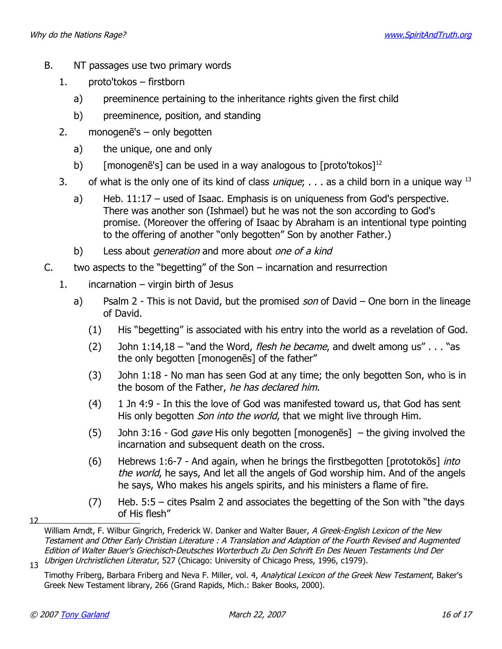- B. NT passages use two primary words
	- 1. proto'tokos firstborn
		- a) preeminence pertaining to the inheritance rights given the first child
		- b) preeminence, position, and standing
	- 2. monogenē's only begotten
		- a) the unique, one and only
		- b) [monogenē's] can be used in a way analogous to  $[proto' tokens]$ <sup>[12](#page-15-0)</sup>
	- 3. of what is the only one of its kind of class *unique*;  $\ldots$  as a child born in a unique way <sup>[13](#page-15-1)</sup>
		- a) Heb. 11:17 used of Isaac. Emphasis is on uniqueness from God's perspective. There was another son (Ishmael) but he was not the son according to God's promise. (Moreover the offering of Isaac by Abraham is an intentional type pointing to the offering of another "only begotten" Son by another Father.)
		- b) Less about *generation* and more about one of a kind
- C. two aspects to the "begetting" of the Son incarnation and resurrection
	- 1. incarnation virgin birth of Jesus
		- a) Psalm 2 This is not David, but the promised son of David One born in the lineage of David.
			- (1) His "begetting" is associated with his entry into the world as a revelation of God.
			- (2) John  $1:14,18$  "and the Word, flesh he became, and dwelt among us"  $\ldots$  "as the only begotten [monogenēs] of the father"
			- (3) John 1:18 No man has seen God at any time; the only begotten Son, who is in the bosom of the Father, he has declared him.
			- (4) 1 Jn 4:9 In this the love of God was manifested toward us, that God has sent His only begotten *Son into the world*, that we might live through Him.
			- (5) John 3:16 God *gave* His only begotten [monogenes] the giving involved the incarnation and subsequent death on the cross.
			- (6) Hebrews 1:6-7 And again, when he brings the firstbegotten [prototokōs] into the world, he says, And let all the angels of God worship him. And of the angels he says, Who makes his angels spirits, and his ministers a flame of fire.
			- (7) Heb. 5:5 cites Psalm 2 and associates the begetting of the Son with "the days of His flesh"

 $12<sup>12</sup>$ 

<span id="page-15-0"></span>William Arndt, F. Wilbur Gingrich, Frederick W. Danker and Walter Bauer, A Greek-English Lexicon of the New Testament and Other Early Christian Literature : A Translation and Adaption of the Fourth Revised and Augmented Edition of Walter Bauer's Griechisch-Deutsches Worterbuch Zu Den Schrift En Des Neuen Testaments Und Der 13 Ubrigen Urchristlichen Literatur, 527 (Chicago: University of Chicago Press, 1996, c1979).

<span id="page-15-1"></span>Timothy Friberg, Barbara Friberg and Neva F. Miller, vol. 4, Analytical Lexicon of the Greek New Testament, Baker's Greek New Testament library, 266 (Grand Rapids, Mich.: Baker Books, 2000).